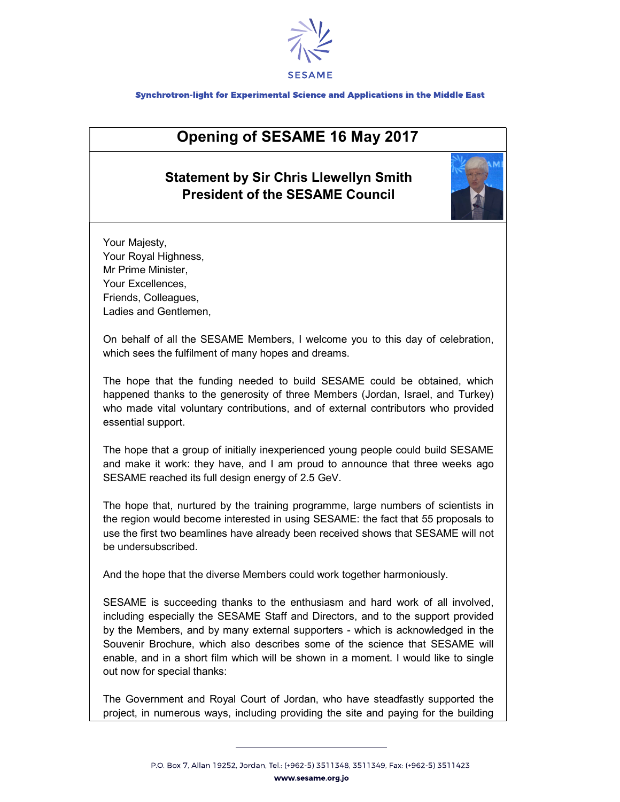

## Synchrotron-light for Experimental Science and Applications in the Middle East

## Opening of SESAME 16 May 2017

## Statement by Sir Chris Llewellyn Smith President of the SESAME Council



Your Majesty, Your Royal Highness, Mr Prime Minister, Your Excellences, Friends, Colleagues, Ladies and Gentlemen,

On behalf of all the SESAME Members, I welcome you to this day of celebration, which sees the fulfilment of many hopes and dreams.

The hope that the funding needed to build SESAME could be obtained, which happened thanks to the generosity of three Members (Jordan, Israel, and Turkey) who made vital voluntary contributions, and of external contributors who provided essential support.

The hope that a group of initially inexperienced young people could build SESAME and make it work: they have, and I am proud to announce that three weeks ago SESAME reached its full design energy of 2.5 GeV.

The hope that, nurtured by the training programme, large numbers of scientists in the region would become interested in using SESAME: the fact that 55 proposals to use the first two beamlines have already been received shows that SESAME will not be undersubscribed.

And the hope that the diverse Members could work together harmoniously.

SESAME is succeeding thanks to the enthusiasm and hard work of all involved, including especially the SESAME Staff and Directors, and to the support provided by the Members, and by many external supporters - which is acknowledged in the Souvenir Brochure, which also describes some of the science that SESAME will enable, and in a short film which will be shown in a moment. I would like to single out now for special thanks:

The Government and Royal Court of Jordan, who have steadfastly supported the project, in numerous ways, including providing the site and paying for the building